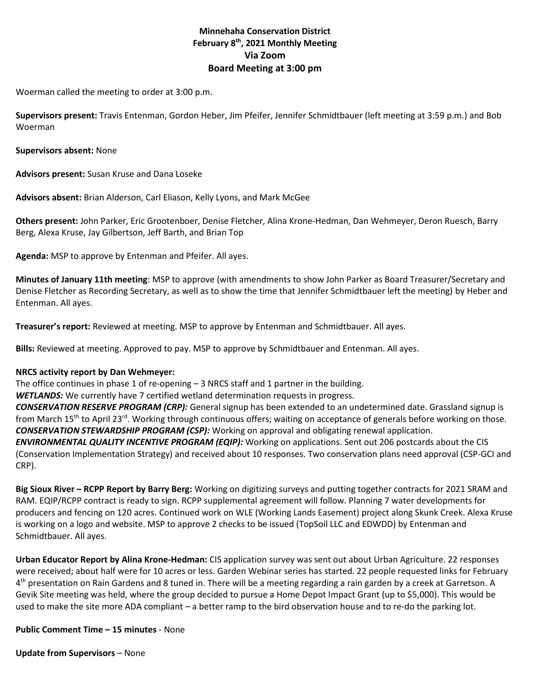# **Minnehaha Conservation District February 8th, 2021 Monthly Meeting Via Zoom Board Meeting at 3:00 pm**

Woerman called the meeting to order at 3:00 p.m.

**Supervisors present:** Travis Entenman, Gordon Heber, Jim Pfeifer, Jennifer Schmidtbauer (left meeting at 3:59 p.m.) and Bob Woerman

**Supervisors absent:** None

**Advisors present:** Susan Kruse and Dana Loseke

**Advisors absent:** Brian Alderson, Carl Eliason, Kelly Lyons, and Mark McGee

**Others present:** John Parker, Eric Grootenboer, Denise Fletcher, Alina Krone-Hedman, Dan Wehmeyer, Deron Ruesch, Barry Berg, Alexa Kruse, Jay Gilbertson, Jeff Barth, and Brian Top

**Agenda:** MSP to approve by Entenman and Pfeifer. All ayes.

**Minutes of January 11th meeting**: MSP to approve (with amendments to show John Parker as Board Treasurer/Secretary and Denise Fletcher as Recording Secretary, as well as to show the time that Jennifer Schmidtbauer left the meeting) by Heber and Entenman. All ayes.

**Treasurer's report:** Reviewed at meeting. MSP to approve by Entenman and Schmidtbauer. All ayes.

**Bills:** Reviewed at meeting. Approved to pay. MSP to approve by Schmidtbauer and Entenman. All ayes.

#### **NRCS activity report by Dan Wehmeyer:**

The office continues in phase 1 of re-opening – 3 NRCS staff and 1 partner in the building.

*WETLANDS:* We currently have 7 certified wetland determination requests in progress.

*CONSERVATION RESERVE PROGRAM (CRP):* General signup has been extended to an undetermined date. Grassland signup is from March 15<sup>th</sup> to April 23<sup>rd</sup>. Working through continuous offers; waiting on acceptance of generals before working on those. *CONSERVATION STEWARDSHIP PROGRAM (CSP):* Working on approval and obligating renewal application.

*ENVIRONMENTAL QUALITY INCENTIVE PROGRAM (EQIP):* Working on applications. Sent out 206 postcards about the CIS (Conservation Implementation Strategy) and received about 10 responses. Two conservation plans need approval (CSP-GCI and CRP).

**Big Sioux River – RCPP Report by Barry Berg:** Working on digitizing surveys and putting together contracts for 2021 SRAM and RAM. EQIP/RCPP contract is ready to sign. RCPP supplemental agreement will follow. Planning 7 water developments for producers and fencing on 120 acres. Continued work on WLE (Working Lands Easement) project along Skunk Creek. Alexa Kruse is working on a logo and website. MSP to approve 2 checks to be issued (TopSoil LLC and EDWDD) by Entenman and Schmidtbauer. All ayes.

**Urban Educator Report by Alina Krone-Hedman:** CIS application survey was sent out about Urban Agriculture. 22 responses were received; about half were for 10 acres or less. Garden Webinar series has started. 22 people requested links for February 4<sup>th</sup> presentation on Rain Gardens and 8 tuned in. There will be a meeting regarding a rain garden by a creek at Garretson. A Gevik Site meeting was held, where the group decided to pursue a Home Depot Impact Grant (up to \$5,000). This would be used to make the site more ADA compliant – a better ramp to the bird observation house and to re-do the parking lot.

**Public Comment Time – 15 minutes** - None

**Update from Supervisors** – None